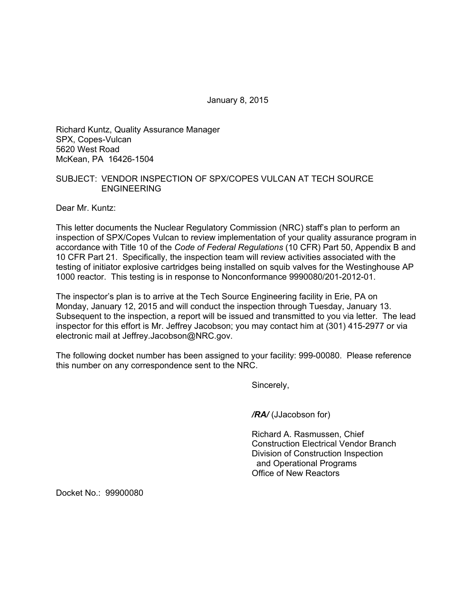January 8, 2015

Richard Kuntz, Quality Assurance Manager SPX, Copes-Vulcan 5620 West Road McKean, PA 16426-1504

## SUBJECT: VENDOR INSPECTION OF SPX/COPES VULCAN AT TECH SOURCE ENGINEERING

Dear Mr. Kuntz:

This letter documents the Nuclear Regulatory Commission (NRC) staff's plan to perform an inspection of SPX/Copes Vulcan to review implementation of your quality assurance program in accordance with Title 10 of the *Code of Federal Regulations* (10 CFR) Part 50, Appendix B and 10 CFR Part 21. Specifically, the inspection team will review activities associated with the testing of initiator explosive cartridges being installed on squib valves for the Westinghouse AP 1000 reactor. This testing is in response to Nonconformance 9990080/201-2012-01.

The inspector's plan is to arrive at the Tech Source Engineering facility in Erie, PA on Monday, January 12, 2015 and will conduct the inspection through Tuesday, January 13. Subsequent to the inspection, a report will be issued and transmitted to you via letter. The lead inspector for this effort is Mr. Jeffrey Jacobson; you may contact him at (301) 415-2977 or via electronic mail at Jeffrey.Jacobson@NRC.gov.

The following docket number has been assigned to your facility: 999-00080. Please reference this number on any correspondence sent to the NRC.

Sincerely,

*/RA/* (JJacobson for)

Richard A. Rasmussen, Chief Construction Electrical Vendor Branch Division of Construction Inspection and Operational Programs Office of New Reactors

Docket No.: 99900080